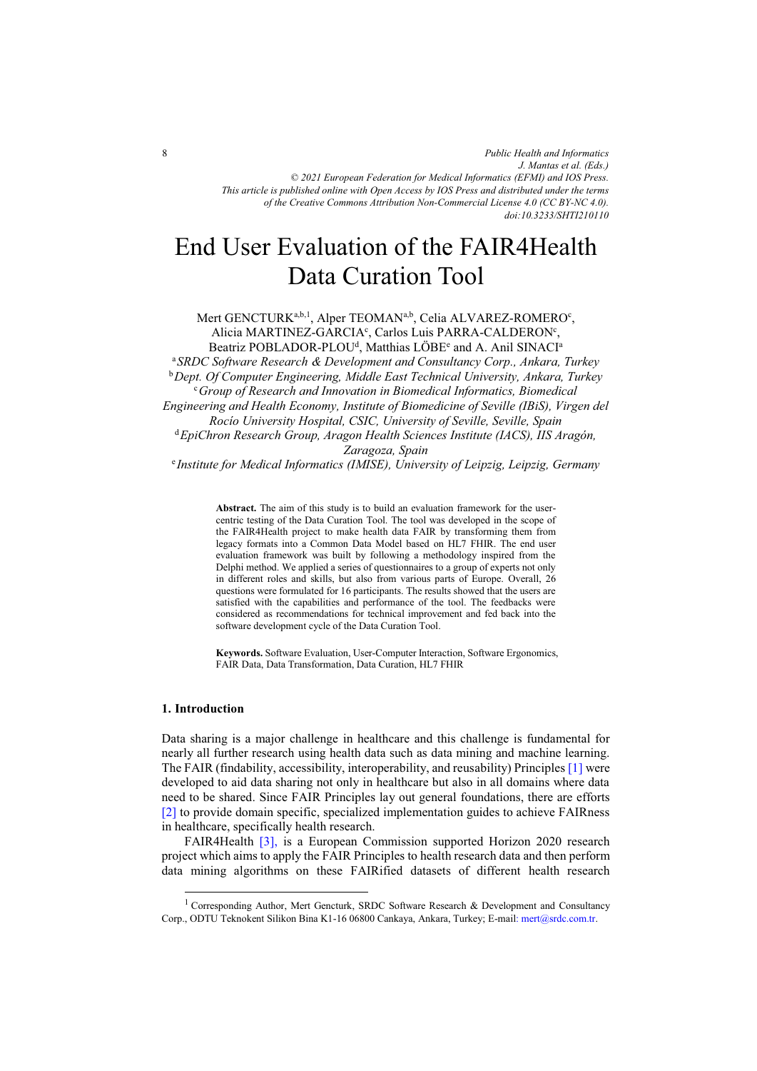# End User Evaluation of the FAIR4Health Data Curation Tool

Mert GENCTURK<sup>a,b,1</sup>, Alper TEOMAN<sup>a,b</sup>, Celia ALVAREZ-ROMERO<sup>c</sup>, Alicia MARTINEZ-GARCIA<sup>c</sup>, Carlos Luis PARRA-CALDERON<sup>c</sup>, Beatriz POBLADOR-PLOU<sup>d</sup>, Matthias LÖBE<sup>e</sup> and A. Anil SINACI<sup>a</sup>

<sup>a</sup>*SRDC Software Research & Development and Consultancy Corp., Ankara, Turkey*  b*Dept. Of Computer Engineering, Middle East Technical University, Ankara, Turkey* <sup>c</sup>*Group of Research and Innovation in Biomedical Informatics, Biomedical Engineering and Health Economy, Institute of Biomedicine of Seville (IBiS), Virgen del*  <sup>d</sup> EniChron Research Group Arggon Health Sciences Institute (IACS), IIS A *EpiChron Research Group, Aragon Health Sciences Institute (IACS), IIS Aragón, Zaragoza, Spain* 

<sup>e</sup> *Institute for Medical Informatics (IMISE), University of Leipzig, Leipzig, Germany* 

**Abstract.** The aim of this study is to build an evaluation framework for the usercentric testing of the Data Curation Tool. The tool was developed in the scope of the FAIR4Health project to make health data FAIR by transforming them from legacy formats into a Common Data Model based on HL7 FHIR. The end user evaluation framework was built by following a methodology inspired from the Delphi method. We applied a series of questionnaires to a group of experts not only in different roles and skills, but also from various parts of Europe. Overall, 26 questions were formulated for 16 participants. The results showed that the users are satisfied with the capabilities and performance of the tool. The feedbacks were considered as recommendations for technical improvement and fed back into the software development cycle of the Data Curation Tool.

**Keywords.** Software Evaluation, User-Computer Interaction, Software Ergonomics, FAIR Data, Data Transformation, Data Curation, HL7 FHIR

## **1. Introduction**

j

Data sharing is a major challenge in healthcare and this challenge is fundamental for nearly all further research using health data such as data mining and machine learning. The FAIR (findability, accessibility, interoperability, and reusability) Principle[s \[1\]](#page-4-0) were developed to aid data sharing not only in healthcare but also in all domains where data need to be shared. Since FAIR Principles lay out general foundations, there are efforts [\[2\]](#page-4-0) to provide domain specific, specialized implementation guides to achieve FAIRness in healthcare, specifically health research.

FAIR4Health [\[3\],](#page-4-0) is a European Commission supported Horizon 2020 research project which aims to apply the FAIR Principles to health research data and then perform data mining algorithms on these FAIRified datasets of different health research

<sup>&</sup>lt;sup>1</sup> Corresponding Author, Mert Gencturk, SRDC Software Research & Development and Consultancy Corp., ODTU Teknokent Silikon Bina K1-16 06800 Cankaya, Ankara, Turkey; E-mail: mert@srdc.com.tr.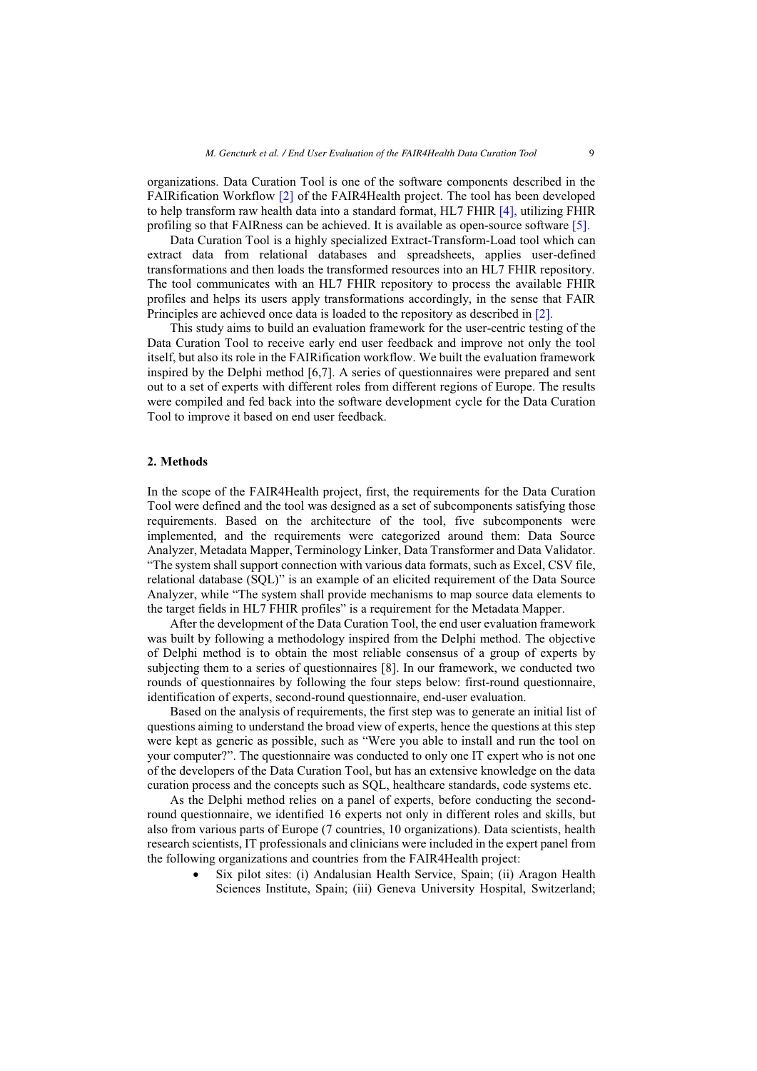organizations. Data Curation Tool is one of the software components described in the FAIRification Workflow [\[2\]](#page-4-0) of the FAIR4Health project. The tool has been developed to help transform raw health data into a standard format, HL7 FHIR [\[4\],](#page-4-0) utilizing FHIR profiling so that FAIRness can be achieved. It is available as open-source software [\[5\].](#page-4-0)

Data Curation Tool is a highly specialized Extract-Transform-Load tool which can extract data from relational databases and spreadsheets, applies user-defined transformations and then loads the transformed resources into an HL7 FHIR repository. The tool communicates with an HL7 FHIR repository to process the available FHIR profiles and helps its users apply transformations accordingly, in the sense that FAIR Principles are achieved once data is loaded to the repository as described in [\[2\].](#page-4-0)

This study aims to build an evaluation framework for the user-centric testing of the Data Curation Tool to receive early end user feedback and improve not only the tool itself, but also its role in the FAIRification workflow. We built the evaluation framework inspired by the Delphi method [6,7]. A series of questionnaires were prepared and sent out to a set of experts with different roles from different regions of Europe. The results were compiled and fed back into the software development cycle for the Data Curation Tool to improve it based on end user feedback.

# **2. Methods**

In the scope of the FAIR4Health project, first, the requirements for the Data Curation Tool were defined and the tool was designed as a set of subcomponents satisfying those requirements. Based on the architecture of the tool, five subcomponents were implemented, and the requirements were categorized around them: Data Source Analyzer, Metadata Mapper, Terminology Linker, Data Transformer and Data Validator. "The system shall support connection with various data formats, such as Excel, CSV file, relational database (SQL)" is an example of an elicited requirement of the Data Source Analyzer, while "The system shall provide mechanisms to map source data elements to the target fields in HL7 FHIR profiles" is a requirement for the Metadata Mapper.

After the development of the Data Curation Tool, the end user evaluation framework was built by following a methodology inspired from the Delphi method. The objective of Delphi method is to obtain the most reliable consensus of a group of experts by subjecting them to a series of questionnaires [8]. In our framework, we conducted two rounds of questionnaires by following the four steps below: first-round questionnaire, identification of experts, second-round questionnaire, end-user evaluation.

Based on the analysis of requirements, the first step was to generate an initial list of questions aiming to understand the broad view of experts, hence the questions at this step were kept as generic as possible, such as "Were you able to install and run the tool on your computer?". The questionnaire was conducted to only one IT expert who is not one of the developers of the Data Curation Tool, but has an extensive knowledge on the data curation process and the concepts such as SQL, healthcare standards, code systems etc.

As the Delphi method relies on a panel of experts, before conducting the secondround questionnaire, we identified 16 experts not only in different roles and skills, but also from various parts of Europe (7 countries, 10 organizations). Data scientists, health research scientists, IT professionals and clinicians were included in the expert panel from the following organizations and countries from the FAIR4Health project:

 $\bullet$  Six pilot sites: (i) Andalusian Health Service, Spain; (ii) Aragon Health Sciences Institute, Spain; (iii) Geneva University Hospital, Switzerland;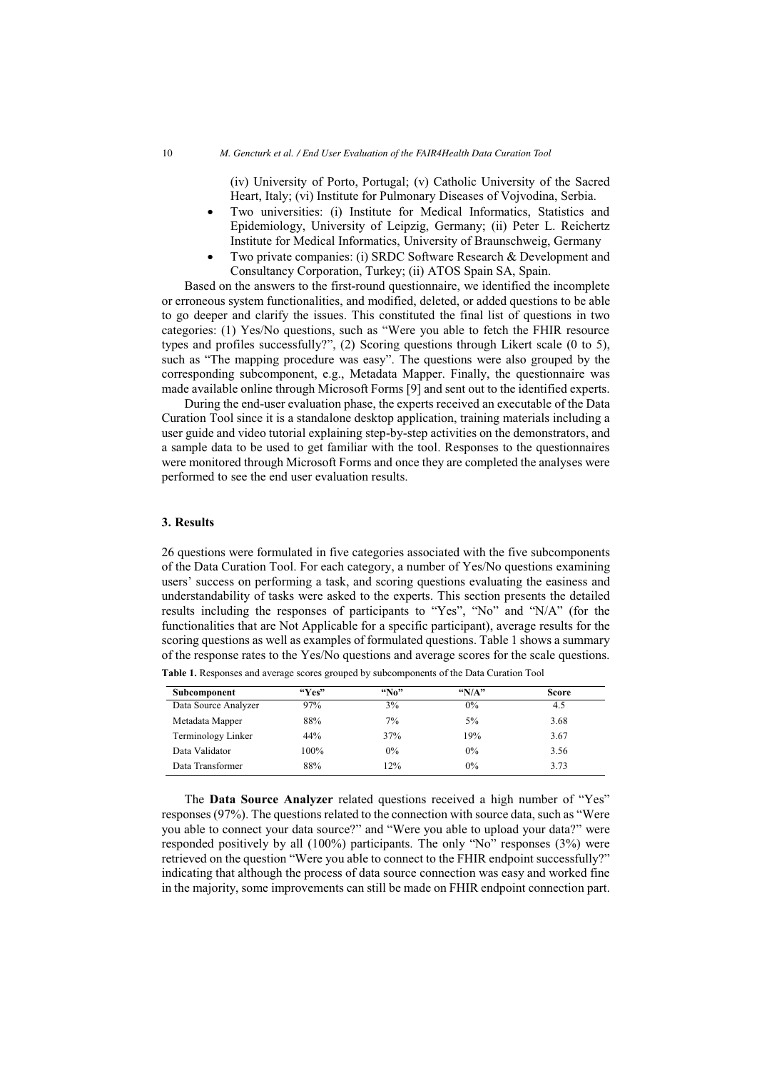(iv) University of Porto, Portugal; (v) Catholic University of the Sacred Heart, Italy; (vi) Institute for Pulmonary Diseases of Vojvodina, Serbia.

- $\bullet$  Two universities: (i) Institute for Medical Informatics, Statistics and Epidemiology, University of Leipzig, Germany; (ii) Peter L. Reichertz Institute for Medical Informatics, University of Braunschweig, Germany
- $\bullet$  Two private companies: (i) SRDC Software Research & Development and Consultancy Corporation, Turkey; (ii) ATOS Spain SA, Spain.

Based on the answers to the first-round questionnaire, we identified the incomplete or erroneous system functionalities, and modified, deleted, or added questions to be able to go deeper and clarify the issues. This constituted the final list of questions in two categories: (1) Yes/No questions, such as "Were you able to fetch the FHIR resource types and profiles successfully?", (2) Scoring questions through Likert scale (0 to 5), such as "The mapping procedure was easy". The questions were also grouped by the corresponding subcomponent, e.g., Metadata Mapper. Finally, the questionnaire was made available online through Microsoft Forms [9] and sent out to the identified experts.

During the end-user evaluation phase, the experts received an executable of the Data Curation Tool since it is a standalone desktop application, training materials including a user guide and video tutorial explaining step-by-step activities on the demonstrators, and a sample data to be used to get familiar with the tool. Responses to the questionnaires were monitored through Microsoft Forms and once they are completed the analyses were performed to see the end user evaluation results.

# **3. Results**

26 questions were formulated in five categories associated with the five subcomponents of the Data Curation Tool. For each category, a number of Yes/No questions examining users' success on performing a task, and scoring questions evaluating the easiness and understandability of tasks were asked to the experts. This section presents the detailed results including the responses of participants to "Yes", "No" and "N/A" (for the functionalities that are Not Applicable for a specific participant), average results for the scoring questions as well as examples of formulated questions. Table 1 shows a summary of the response rates to the Yes/No questions and average scores for the scale questions.

| Subcomponent         | $W_{\rm PS}$ | ``No" | $N/A$ " | <b>Score</b> |
|----------------------|--------------|-------|---------|--------------|
| Data Source Analyzer | 97%          | 3%    | $0\%$   | 4.5          |
| Metadata Mapper      | 88%          | $7\%$ | $5\%$   | 3.68         |
| Terminology Linker   | 44%          | 37%   | 19%     | 3.67         |
| Data Validator       | $100\%$      | $0\%$ | $0\%$   | 3.56         |
| Data Transformer     | 88%          | 12%   | $0\%$   | 3.73         |

**Table 1.** Responses and average scores grouped by subcomponents of the Data Curation Tool

The **Data Source Analyzer** related questions received a high number of "Yes" responses (97%). The questions related to the connection with source data, such as "Were you able to connect your data source?" and "Were you able to upload your data?" were responded positively by all (100%) participants. The only "No" responses (3%) were retrieved on the question "Were you able to connect to the FHIR endpoint successfully?" indicating that although the process of data source connection was easy and worked fine in the majority, some improvements can still be made on FHIR endpoint connection part.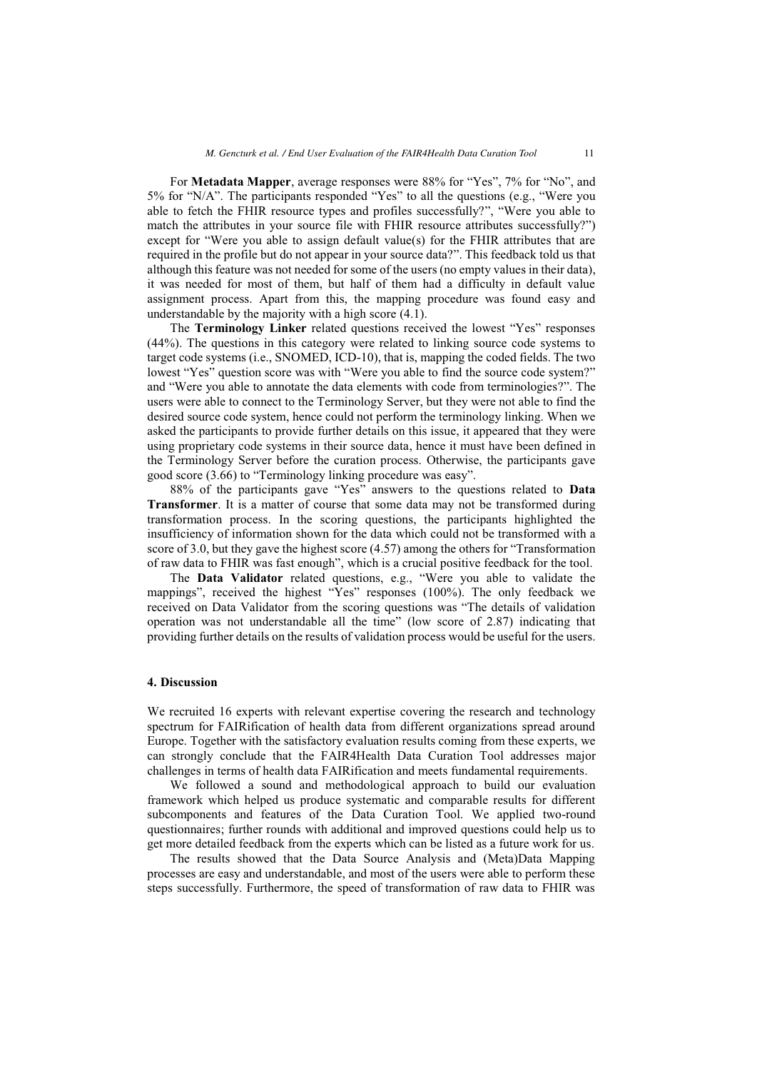For **Metadata Mapper**, average responses were 88% for "Yes", 7% for "No", and 5% for "N/A". The participants responded "Yes" to all the questions (e.g., "Were you able to fetch the FHIR resource types and profiles successfully?", "Were you able to match the attributes in your source file with FHIR resource attributes successfully?") except for "Were you able to assign default value(s) for the FHIR attributes that are required in the profile but do not appear in your source data?". This feedback told us that although this feature was not needed for some of the users (no empty values in their data), it was needed for most of them, but half of them had a difficulty in default value assignment process. Apart from this, the mapping procedure was found easy and understandable by the majority with a high score (4.1).

The **Terminology Linker** related questions received the lowest "Yes" responses (44%). The questions in this category were related to linking source code systems to target code systems (i.e., SNOMED, ICD-10), that is, mapping the coded fields. The two lowest "Yes" question score was with "Were you able to find the source code system?" and "Were you able to annotate the data elements with code from terminologies?". The users were able to connect to the Terminology Server, but they were not able to find the desired source code system, hence could not perform the terminology linking. When we asked the participants to provide further details on this issue, it appeared that they were using proprietary code systems in their source data, hence it must have been defined in the Terminology Server before the curation process. Otherwise, the participants gave good score (3.66) to "Terminology linking procedure was easy".

88% of the participants gave "Yes" answers to the questions related to **Data Transformer**. It is a matter of course that some data may not be transformed during transformation process. In the scoring questions, the participants highlighted the insufficiency of information shown for the data which could not be transformed with a score of 3.0, but they gave the highest score (4.57) among the others for "Transformation of raw data to FHIR was fast enough", which is a crucial positive feedback for the tool.

The **Data Validator** related questions, e.g., "Were you able to validate the mappings", received the highest "Yes" responses (100%). The only feedback we received on Data Validator from the scoring questions was "The details of validation operation was not understandable all the time" (low score of 2.87) indicating that providing further details on the results of validation process would be useful for the users.

#### **4. Discussion**

We recruited 16 experts with relevant expertise covering the research and technology spectrum for FAIRification of health data from different organizations spread around Europe. Together with the satisfactory evaluation results coming from these experts, we can strongly conclude that the FAIR4Health Data Curation Tool addresses major challenges in terms of health data FAIRification and meets fundamental requirements.

We followed a sound and methodological approach to build our evaluation framework which helped us produce systematic and comparable results for different subcomponents and features of the Data Curation Tool. We applied two-round questionnaires; further rounds with additional and improved questions could help us to get more detailed feedback from the experts which can be listed as a future work for us.

The results showed that the Data Source Analysis and (Meta)Data Mapping processes are easy and understandable, and most of the users were able to perform these steps successfully. Furthermore, the speed of transformation of raw data to FHIR was